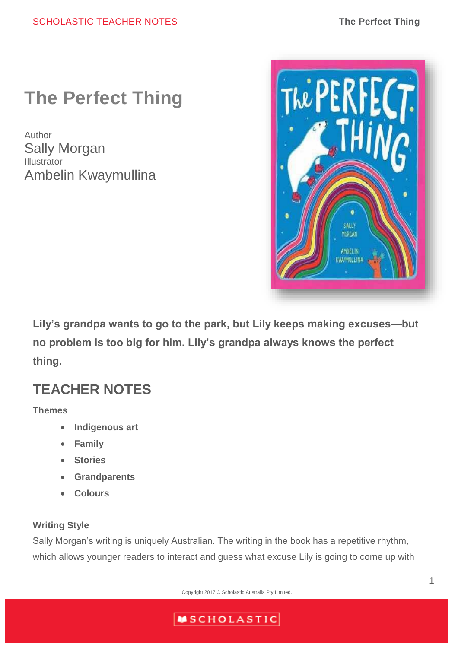# **The Perfect Thing**

Author Sally Morgan Illustrator Ambelin Kwaymullina



**Lily's grandpa wants to go to the park, but Lily keeps making excuses—but no problem is too big for him. Lily's grandpa always knows the perfect thing.**

## **TEACHER NOTES**

#### **Themes**

- **Indigenous art**
- **Family**
- **Stories**
- **Grandparents**
- **Colours**

### **Writing Style**

Sally Morgan's writing is uniquely Australian. The writing in the book has a repetitive rhythm, which allows younger readers to interact and guess what excuse Lily is going to come up with

Copyright 2017 © Scholastic Australia Pty Limited.

## **MSCHOLASTIC**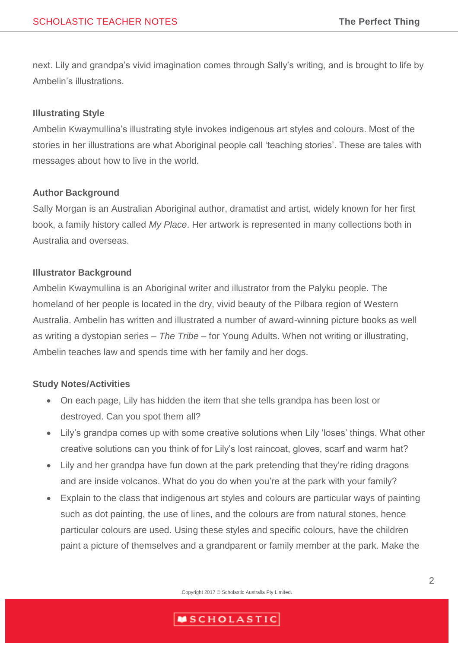next. Lily and grandpa's vivid imagination comes through Sally's writing, and is brought to life by Ambelin's illustrations.

#### **Illustrating Style**

Ambelin Kwaymullina's illustrating style invokes indigenous art styles and colours. Most of the stories in her illustrations are what Aboriginal people call 'teaching stories'. These are tales with messages about how to live in the world.

#### **Author Background**

Sally Morgan is an Australian Aboriginal author, dramatist and artist, widely known for her first book, a family history called *My Place*. Her artwork is represented in many collections both in Australia and overseas.

#### **Illustrator Background**

Ambelin Kwaymullina is an Aboriginal writer and illustrator from the Palyku people. The homeland of her people is located in the dry, vivid beauty of the Pilbara region of Western Australia. Ambelin has written and illustrated a number of award-winning picture books as well as writing a dystopian series – *The Tribe* – for Young Adults. When not writing or illustrating, Ambelin teaches law and spends time with her family and her dogs.

#### **Study Notes/Activities**

- On each page, Lily has hidden the item that she tells grandpa has been lost or destroyed. Can you spot them all?
- Lily's grandpa comes up with some creative solutions when Lily 'loses' things. What other creative solutions can you think of for Lily's lost raincoat, gloves, scarf and warm hat?
- Lily and her grandpa have fun down at the park pretending that they're riding dragons and are inside volcanos. What do you do when you're at the park with your family?
- Explain to the class that indigenous art styles and colours are particular ways of painting such as dot painting, the use of lines, and the colours are from natural stones, hence particular colours are used. Using these styles and specific colours, have the children paint a picture of themselves and a grandparent or family member at the park. Make the

Copyright 2017 © Scholastic Australia Pty Limited.

## **MSCHOLASTIC**